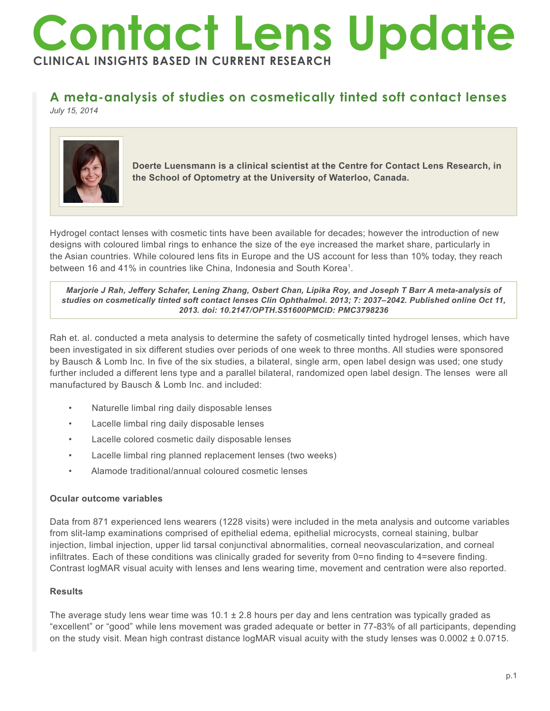# **Contact Lens Update CLINICAL INSIGHTS BASED IN CURRENT RESEARCH**

# **A meta-analysis of studies on cosmetically tinted soft contact lenses**

*July 15, 2014*



**Doerte Luensmann is a clinical scientist at the Centre for Contact Lens Research, in the School of Optometry at the University of Waterloo, Canada.** 

Hydrogel contact lenses with cosmetic tints have been available for decades; however the introduction of new designs with coloured limbal rings to enhance the size of the eye increased the market share, particularly in the Asian countries. While coloured lens fits in Europe and the US account for less than 10% today, they reach between 16 and 41% in countries like China, Indonesia and South Korea<sup>1</sup>.

*Marjorie J Rah, Jeffery Schafer, Lening Zhang, Osbert Chan, Lipika Roy, and Joseph T Barr A meta-analysis of studies on cosmetically tinted soft contact lenses Clin Ophthalmol. 2013; 7: 2037–2042. Published online Oct 11, 2013. doi: 10.2147/OPTH.S51600PMCID: PMC3798236*

Rah et. al. conducted a meta analysis to determine the safety of cosmetically tinted hydrogel lenses, which have been investigated in six different studies over periods of one week to three months. All studies were sponsored by Bausch & Lomb Inc. In five of the six studies, a bilateral, single arm, open label design was used; one study further included a different lens type and a parallel bilateral, randomized open label design. The lenses were all manufactured by Bausch & Lomb Inc. and included:

- Naturelle limbal ring daily disposable lenses
- Lacelle limbal ring daily disposable lenses
- Lacelle colored cosmetic daily disposable lenses
- Lacelle limbal ring planned replacement lenses (two weeks)
- Alamode traditional/annual coloured cosmetic lenses

## **Ocular outcome variables**

Data from 871 experienced lens wearers (1228 visits) were included in the meta analysis and outcome variables from slit-lamp examinations comprised of epithelial edema, epithelial microcysts, corneal staining, bulbar injection, limbal injection, upper lid tarsal conjunctival abnormalities, corneal neovascularization, and corneal infiltrates. Each of these conditions was clinically graded for severity from 0=no finding to 4=severe finding. Contrast logMAR visual acuity with lenses and lens wearing time, movement and centration were also reported.

# **Results**

The average study lens wear time was  $10.1 \pm 2.8$  hours per day and lens centration was typically graded as "excellent" or "good" while lens movement was graded adequate or better in 77-83% of all participants, depending on the study visit. Mean high contrast distance logMAR visual acuity with the study lenses was  $0.0002 \pm 0.0715$ .